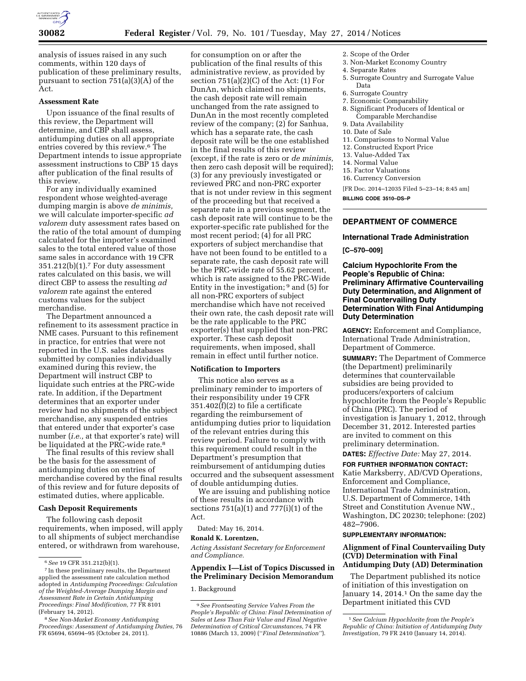

analysis of issues raised in any such comments, within 120 days of publication of these preliminary results, pursuant to section 751(a)(3)(A) of the Act.

### **Assessment Rate**

Upon issuance of the final results of this review, the Department will determine, and CBP shall assess, antidumping duties on all appropriate entries covered by this review.6 The Department intends to issue appropriate assessment instructions to CBP 15 days after publication of the final results of this review.

For any individually examined respondent whose weighted-average dumping margin is above *de minimis,*  we will calculate importer-specific *ad valorem* duty assessment rates based on the ratio of the total amount of dumping calculated for the importer's examined sales to the total entered value of those same sales in accordance with 19 CFR  $351.212(b)(1)$ .<sup>7</sup> For duty assessment rates calculated on this basis, we will direct CBP to assess the resulting *ad valorem* rate against the entered customs values for the subject merchandise.

The Department announced a refinement to its assessment practice in NME cases. Pursuant to this refinement in practice, for entries that were not reported in the U.S. sales databases submitted by companies individually examined during this review, the Department will instruct CBP to liquidate such entries at the PRC-wide rate. In addition, if the Department determines that an exporter under review had no shipments of the subject merchandise, any suspended entries that entered under that exporter's case number (*i.e.,* at that exporter's rate) will be liquidated at the PRC-wide rate.<sup>8</sup>

The final results of this review shall be the basis for the assessment of antidumping duties on entries of merchandise covered by the final results of this review and for future deposits of estimated duties, where applicable.

### **Cash Deposit Requirements**

The following cash deposit requirements, when imposed, will apply to all shipments of subject merchandise entered, or withdrawn from warehouse,

for consumption on or after the publication of the final results of this administrative review, as provided by section  $751(a)(2)(C)$  of the Act:  $(1)$  For DunAn, which claimed no shipments, the cash deposit rate will remain unchanged from the rate assigned to DunAn in the most recently completed review of the company; (2) for Sanhua, which has a separate rate, the cash deposit rate will be the one established in the final results of this review (except, if the rate is zero or *de minimis,*  then zero cash deposit will be required); (3) for any previously investigated or reviewed PRC and non-PRC exporter that is not under review in this segment of the proceeding but that received a separate rate in a previous segment, the cash deposit rate will continue to be the exporter-specific rate published for the most recent period; (4) for all PRC exporters of subject merchandise that have not been found to be entitled to a separate rate, the cash deposit rate will be the PRC-wide rate of 55.62 percent, which is rate assigned to the PRC-Wide Entity in the investigation;  $9$  and (5) for all non-PRC exporters of subject merchandise which have not received their own rate, the cash deposit rate will be the rate applicable to the PRC exporter(s) that supplied that non-PRC exporter. These cash deposit requirements, when imposed, shall remain in effect until further notice.

#### **Notification to Importers**

This notice also serves as a preliminary reminder to importers of their responsibility under 19 CFR  $351.402(f)(2)$  to file a certificate regarding the reimbursement of antidumping duties prior to liquidation of the relevant entries during this review period. Failure to comply with this requirement could result in the Department's presumption that reimbursement of antidumping duties occurred and the subsequent assessment of double antidumping duties.

We are issuing and publishing notice of these results in accordance with sections 751(a)(1) and 777(i)(1) of the Act.

Dated: May 16, 2014.

### **Ronald K. Lorentzen,**

*Acting Assistant Secretary for Enforcement and Compliance.* 

### **Appendix I—List of Topics Discussed in the Preliminary Decision Memorandum**

1. Background

- 2. Scope of the Order
- 3. Non-Market Economy Country
- 4. Separate Rates
- 5. Surrogate Country and Surrogate Value Data
- 6. Surrogate Country
- 7. Economic Comparability
- 8. Significant Producers of Identical or Comparable Merchandise
- 9. Data Availability
- 10. Date of Sale
- 11. Comparisons to Normal Value
- 12. Constructed Export Price
- 13. Value-Added Tax
- 14. Normal Value
- 15. Factor Valuations
- 16. Currency Conversion

[FR Doc. 2014–12035 Filed 5–23–14; 8:45 am]

**BILLING CODE 3510–DS–P** 

### **DEPARTMENT OF COMMERCE**

#### **International Trade Administration**

### **[C–570–009]**

**Calcium Hypochlorite From the People's Republic of China: Preliminary Affirmative Countervailing Duty Determination, and Alignment of Final Countervailing Duty Determination With Final Antidumping Duty Determination** 

**AGENCY:** Enforcement and Compliance, International Trade Administration, Department of Commerce.

**SUMMARY:** The Department of Commerce (the Department) preliminarily determines that countervailable subsidies are being provided to producers/exporters of calcium hypochlorite from the People's Republic of China (PRC). The period of investigation is January 1, 2012, through December 31, 2012. Interested parties are invited to comment on this preliminary determination.

# **DATES:** *Effective Date:* May 27, 2014.

**FOR FURTHER INFORMATION CONTACT:**  Katie Marksberry, AD/CVD Operations, Enforcement and Compliance, International Trade Administration, U.S. Department of Commerce, 14th Street and Constitution Avenue NW., Washington, DC 20230; telephone: (202) 482–7906.

### **SUPPLEMENTARY INFORMATION:**

### **Alignment of Final Countervailing Duty (CVD) Determination with Final Antidumping Duty (AD) Determination**

The Department published its notice of initiation of this investigation on January 14, 2014.<sup>1</sup> On the same day the Department initiated this CVD

<sup>6</sup>*See* 19 CFR 351.212(b)(1).

<sup>7</sup> In these preliminary results, the Department applied the assessment rate calculation method adopted in *Antidumping Proceedings: Calculation of the Weighted-Average Dumping Margin and Assessment Rate in Certain Antidumping Proceedings: Final Modification,* 77 FR 8101 (February 14, 2012).

<sup>8</sup>*See Non-Market Economy Antidumping Proceedings: Assessment of Antidumping Duties,* 76 FR 65694, 65694–95 (October 24, 2011).

<sup>9</sup>*See Frontseating Service Valves From the People's Republic of China: Final Determination of Sales at Less Than Fair Value and Final Negative Determination of Critical Circumstances,* 74 FR 10886 (March 13, 2009) (''*Final Determination''*).

<sup>1</sup>*See Calcium Hypochlorite from the People's Republic of China: Initiation of Antidumping Duty Investigation,* 79 FR 2410 (January 14, 2014).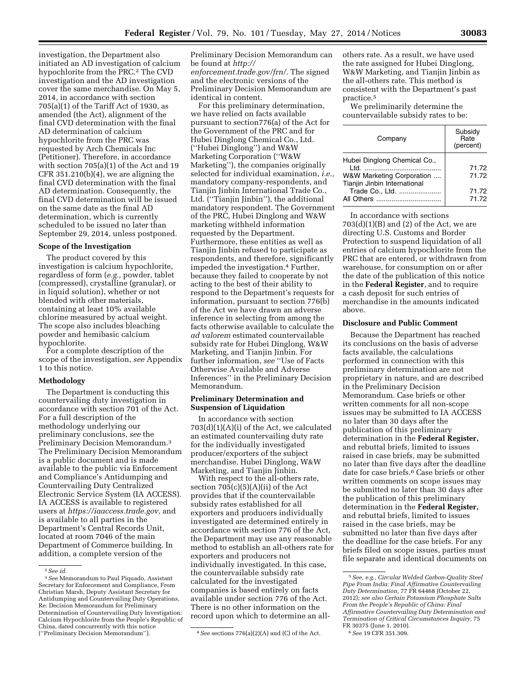investigation, the Department also initiated an AD investigation of calcium hypochlorite from the PRC.2 The CVD investigation and the AD investigation cover the same merchandise. On May 5, 2014, in accordance with section 705(a)(1) of the Tariff Act of 1930, as amended (the Act), alignment of the final CVD determination with the final AD determination of calcium hypochlorite from the PRC was requested by Arch Chemicals Inc (Petitioner). Therefore, in accordance with section 705(a)(1) of the Act and 19 CFR 351.210(b)(4), we are aligning the final CVD determination with the final AD determination. Consequently, the final CVD determination will be issued on the same date as the final AD determination, which is currently scheduled to be issued no later than September 29, 2014, unless postponed.

### **Scope of the Investigation**

The product covered by this investigation is calcium hypochlorite, regardless of form (*e.g.,* powder, tablet (compressed), crystalline (granular), or in liquid solution), whether or not blended with other materials, containing at least 10% available chlorine measured by actual weight. The scope also includes bleaching powder and hemibasic calcium hypochlorite.

For a complete description of the scope of the investigation, *see* Appendix 1 to this notice.

### **Methodology**

The Department is conducting this countervailing duty investigation in accordance with section 701 of the Act. For a full description of the methodology underlying our preliminary conclusions, *see* the Preliminary Decision Memorandum.3 The Preliminary Decision Memorandum is a public document and is made available to the public via Enforcement and Compliance's Antidumping and Countervailing Duty Centralized Electronic Service System (IA ACCESS). IA ACCESS is available to registered users at *[https://iaaccess.trade.gov,](https://iaaccess.trade.gov)* and is available to all parties in the Department's Central Records Unit, located at room 7046 of the main Department of Commerce building. In addition, a complete version of the

Preliminary Decision Memorandum can be found at *[http://](http://enforcement.trade.gov/frn/) [enforcement.trade.gov/frn/](http://enforcement.trade.gov/frn/)*. The signed and the electronic versions of the Preliminary Decision Memorandum are identical in content.

For this preliminary determination, we have relied on facts available pursuant to section776(a) of the Act for the Government of the PRC and for Hubei Dinglong Chemical Co., Ltd. (''Hubei Dinglong'') and W&W Marketing Corporation (''W&W Marketing''), the companies originally selected for individual examination, *i.e.,*  mandatory company-respondents, and Tianjin Jinbin International Trade Co., Ltd. (''Tianjin Jinbin''), the additional mandatory respondent. The Government of the PRC, Hubei Dinglong and W&W marketing withheld information requested by the Department. Furthermore, these entities as well as Tianjin Jinbin refused to participate as respondents, and therefore, significantly impeded the investigation.4 Further, because they failed to cooperate by not acting to the best of their ability to respond to the Department's requests for information, pursuant to section 776(b) of the Act we have drawn an adverse inference in selecting from among the facts otherwise available to calculate the *ad valorem* estimated countervailable subsidy rate for Hubei Dinglong, W&W Marketing, and Tianjin Jinbin. For further information, *see* ''Use of Facts Otherwise Available and Adverse Inferences'' in the Preliminary Decision Memorandum.

### **Preliminary Determination and Suspension of Liquidation**

In accordance with section 703(d)(1)(A)(i) of the Act, we calculated an estimated countervailing duty rate for the individually investigated producer/exporters of the subject merchandise, Hubei Dinglong, W&W Marketing, and Tianjin Jinbin.

With respect to the all-others rate, section  $705(c)(5)(A)(ii)$  of the Act provides that if the countervailable subsidy rates established for all exporters and producers individually investigated are determined entirely in accordance with section 776 of the Act, the Department may use any reasonable method to establish an all-others rate for exporters and producers not individually investigated. In this case, the countervailable subsidy rate calculated for the investigated companies is based entirely on facts available under section 776 of the Act. There is no other information on the record upon which to determine an allothers rate. As a result, we have used the rate assigned for Hubei Dinglong, W&W Marketing, and Tianjin Jinbin as the all-others rate. This method is consistent with the Department's past practice.5

We preliminarily determine the countervailable subsidy rates to be:

| Company                                                                                           | Subsidy<br>Rate<br>(percent) |
|---------------------------------------------------------------------------------------------------|------------------------------|
| Hubei Dinglong Chemical Co.,<br>ht I<br>W&W Marketing Corporation<br>Tianjin Jinbin International | 71.72<br>71.72               |
| Trade Co., Ltd.                                                                                   | 71.72<br>71.72               |

In accordance with sections  $703(d)(1)(B)$  and  $(2)$  of the Act, we are directing U.S. Customs and Border Protection to suspend liquidation of all entries of calcium hypochlorite from the PRC that are entered, or withdrawn from warehouse, for consumption on or after the date of the publication of this notice in the **Federal Register**, and to require a cash deposit for such entries of merchandise in the amounts indicated above.

### **Disclosure and Public Comment**

Because the Department has reached its conclusions on the basis of adverse facts available, the calculations performed in connection with this preliminary determination are not proprietary in nature, and are described in the Preliminary Decision Memorandum. Case briefs or other written comments for all non-scope issues may be submitted to IA ACCESS no later than 30 days after the publication of this preliminary determination in the **Federal Register,**  and rebuttal briefs, limited to issues raised in case briefs, may be submitted no later than five days after the deadline date for case briefs.6 Case briefs or other written comments on scope issues may be submitted no later than 30 days after the publication of this preliminary determination in the **Federal Register,**  and rebuttal briefs, limited to issues raised in the case briefs, may be submitted no later than five days after the deadline for the case briefs. For any briefs filed on scope issues, parties must file separate and identical documents on

<sup>2</sup>*See id.* 

<sup>3</sup>*See* Memorandum to Paul Piquado, Assistant Secretary for Enforcement and Compliance, From Christian Marsh, Deputy Assistant Secretary for Antidumping and Countervailing Duty Operations, Re: Decision Memorandum for Preliminary Determination of Countervailing Duty Investigation: Calcium Hypochlorite from the People's Republic of China, dated concurrently with this notice<br>("Preliminary Decision Memorandum").

<sup>&</sup>lt;sup>4</sup> See sections 776(a)(2)(A) and (C) of the Act.

<sup>5</sup>*See, e.g., Circular Welded Carbon-Quality Steel Pipe From India: Final Affirmative Countervailing Duty Determination,* 77 FR 64468 (October 22, 2012); *see also Certain Potassium Phosphate Salts From the People's Republic of China: Final Affirmative Countervailing Duty Determination and Termination of Critical Circumstances Inquiry,* 75 FR 30375 (June 1, 2010). 6*See* 19 CFR 351.309.